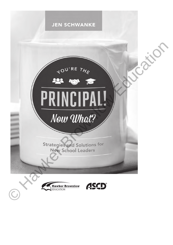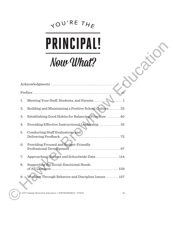# YOU'RE THE



|    | INGIPAL!                                                         |
|----|------------------------------------------------------------------|
|    | Now What?                                                        |
|    |                                                                  |
|    |                                                                  |
| 1. |                                                                  |
| 2. | Building and Maintaining a Positive School Culture 23            |
| 3. | Establishing Good Habits for Balancing Priorities  40            |
| 4. | Providing Effective Instructional Leadership  55                 |
| 5. | Conducting Staff Evaluations and                                 |
| 6. | Providing Focused and Budget-Friendly                            |
| 7. | Approaching Student and Schoolwide Data  114                     |
| 8. | Supporting the Social-Emotional Needs                            |
|    | 9. Working Through Behavior and Discipline Issues 157            |
|    | © 2017 Hawker Brownlow Education • 9781760560843 • 117003<br>iii |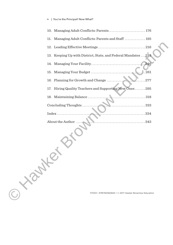#### iv | You're the Principal! Now What?

|     | 10. Managing Adult Conflicts: Parents 176                      |
|-----|----------------------------------------------------------------|
| 11. | Managing Adult Conflicts: Parents and Staff  195               |
|     |                                                                |
|     | 13. Keeping Up with District, State, and Federal Mandates  233 |
|     | 246                                                            |
|     | 15. Managing Your Budget<br>.261                               |
|     | 16. Planning for Growth and Change<br>.277                     |
| 17. | Hiring Quality Teachers and Supporting New Ones 295            |
|     | 18. Maintaining Balance                                        |
|     | Concluding Thoughts<br>. 333                                   |
|     | $Index \ldots \ldots \ldots$<br>. 334                          |
|     | About the Author.                                              |
|     |                                                                |
|     | 117003 • 9781760560843 • © 2017 Hawker Brownlow Education      |
|     |                                                                |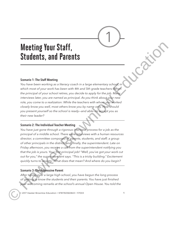# **Meeting Your Staff, Students, and Parents**

### Scenario 1: The Staff Meeting

You have been working as a literacy coach in a large elementary school, in which most of your work has been with 4th and 5th grade teachers. When the principal of your school retires, you decide to apply for the job. Many interviews later, you are named as principal. As you think about your new role, you come to a realization: While the teachers with whom you worked closely know you well, most others know you by name only. How should you present yourself so the school is ready—and able—to accept you as their new leader?

### Scenario 2: The Individual Teacher Meeting

You have just gone through a rigorous interview process for a job as the principal of a middle school. There were interviews with a human resources director; a committee composed of parents, students, and staff; a group of other principals in the district; and, finally, the superintendent. Late on Friday afternoon, you receive a call from the superintendent notifying you that the job is yours. Your first principal job! "Well, you've got your work cut out for you," the superintendent says. "This is a tricky building." Excitement quickly turns to anxiety: What does that mean? And where do you begin? **Meeting Your Staff,**<br>
Studentts, and Parentts<br>
sexamine the ball Meeting and Normal content in a large elementary school of the principal all your content is a between only the state principal and the principal all your

## Scenario 3: The Aggressive Parent

After taking over a large high school, you have begun the long process of getting to know the students and their parents. You have just finished your welcoming remarks at the school's annual Open House. You told the

© 2017 Hawker Brownlow Education • 9781760560843 • 117003 1



1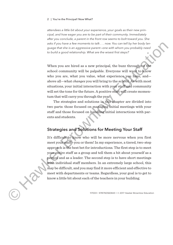#### 2 | You're the Principal! Now What?

attendees a little bit about your experience, your goals as their new principal, and how eager you are to be part of their community. Immediately after you conclude, a parent in the front row seems to bolt toward you. She asks if you have a few moments to talk . . . now. You can tell by her body language that she is an aggressive parent—one with whom you probably need to build a good relationship. What are the wisest first steps?

When you are hired as a new principal, the buzz throughout the school community will be palpable. Everyone will want to know who you are, what you value, what experience you have, and above all—what *changes* you will bring to the school. As with most situations, your initial interaction with your staff and community will set the tone for the future. A positive start will create momentum that will carry you through the year.

The strategies and solutions in this chapter are divided into two parts: those focused on managing initial meetings with your staff and those focused on handling initial interactions with parents and students.

# Strategies and Solutions for Meeting Your Staff

It's difficult to know who will be more nervous when you first meet your staff—you or them! In my experience, a tiered, two-step approach is the best bet for introductions. The first step is to meet your entire staff as a group and tell them a bit about yourself as a person and as a leader. The second step is to have short meetings with individual staff members. In an extremely large school, this may be difficult, and you may find it more efficient and effective to meet with departments or teams. Regardless, your goal is to get to know a little bit about each of the teachers in your building. and if you have a few anometic to the window the conviction of the principal paragretic particle is the same principal. When two the mass that is the could a good relationship, When we the winest Kritistop?<br>
When you are,

117003 • 9781760560843 • © 2017 Hawker Brownlow Education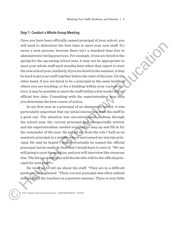### Step 1: Conduct a Whole-Group Meeting

Once you have been officially named principal of your school, you will need to determine the best time to meet your new staff. It's never a neat process, because there isn't a standard time line in administrator hiring practices. For example, if you are hired in the spring for the upcoming school year, it may not be appropriate to meet your whole staff until months later when they report to start the new school year; similarly, if you are hired in the summer, it may be hard to get your staff together before the start of the year. On the other hand, if you are hired to be a principal in the same building where you are teaching, or for a building within your current district, it may be possible to meet the staff within a few weeks of your official hire date. Consulting with the superintendent may help you determine the best course of action. will need to determine the bast time to meat your new staff. Its<br>account neutric processes. Decompose there is a reached time line in<br>a diministrator hiring spaceticos. For example, if you are hired in the<br>spring for the

In my first year as a principal of an elementary school, it was particularly important that my initial interaction with the staff be a good one. The situation was unconventional: midway through the school year, the current principal had unexpectedly retired, and the superintendent needed someone to step up and fill in for the remainder of the year. He pulled me from the role I held as an assistant principal in a middle school and named me interim principal. He said he hoped I would eventually be named the official principal, but he made it clear that I would have to earn it: "We are still going to post the position, and you will interview like everyone else. The hiring committee will decide who will be the official principal for next year."

He went on to tell me about the staff. "They are in a difficult position," he explained. "Their current principal was often unkind and handled the teachers in a punitive manner. There is very little

© 2017 Hawker Brownlow Education • 9781760560843 • 117003